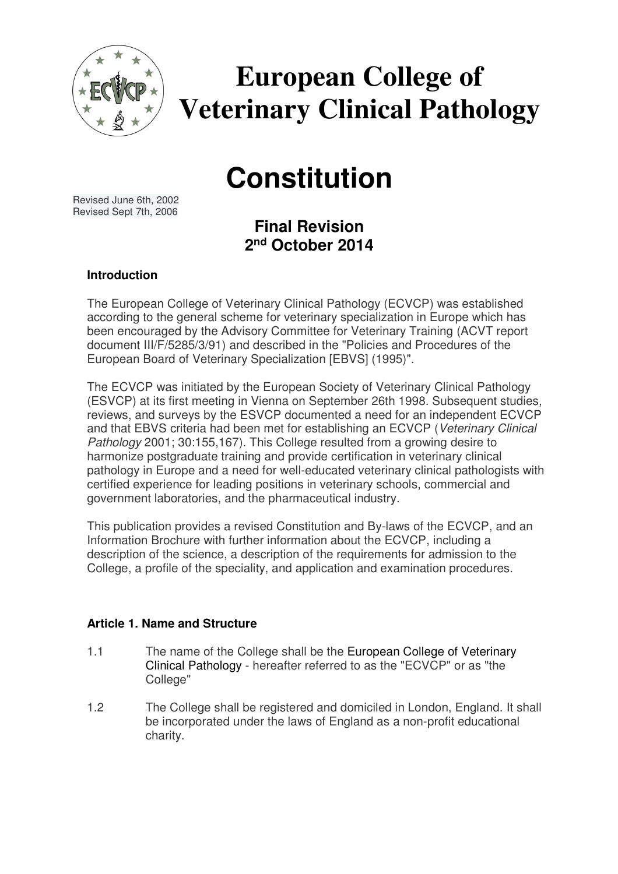

# **European College of Veterinary Clinical Pathology**

# **Constitution**

Revised June 6th, 2002 Revised Sept 7th, 2006

**Final Revision 2 nd October 2014** 

# **Introduction**

The European College of Veterinary Clinical Pathology (ECVCP) was established according to the general scheme for veterinary specialization in Europe which has been encouraged by the Advisory Committee for Veterinary Training (ACVT report document III/F/5285/3/91) and described in the "Policies and Procedures of the European Board of Veterinary Specialization [EBVS] (1995)".

The ECVCP was initiated by the European Society of Veterinary Clinical Pathology (ESVCP) at its first meeting in Vienna on September 26th 1998. Subsequent studies, reviews, and surveys by the ESVCP documented a need for an independent ECVCP and that EBVS criteria had been met for establishing an ECVCP (Veterinary Clinical Pathology 2001; 30:155,167). This College resulted from a growing desire to harmonize postgraduate training and provide certification in veterinary clinical pathology in Europe and a need for well-educated veterinary clinical pathologists with certified experience for leading positions in veterinary schools, commercial and government laboratories, and the pharmaceutical industry.

This publication provides a revised Constitution and By-laws of the ECVCP, and an Information Brochure with further information about the ECVCP, including a description of the science, a description of the requirements for admission to the College, a profile of the speciality, and application and examination procedures.

## **Article 1. Name and Structure**

- 1.1 The name of the College shall be the European College of Veterinary Clinical Pathology - hereafter referred to as the "ECVCP" or as "the College"
- 1.2 The College shall be registered and domiciled in London, England. It shall be incorporated under the laws of England as a non-profit educational charity.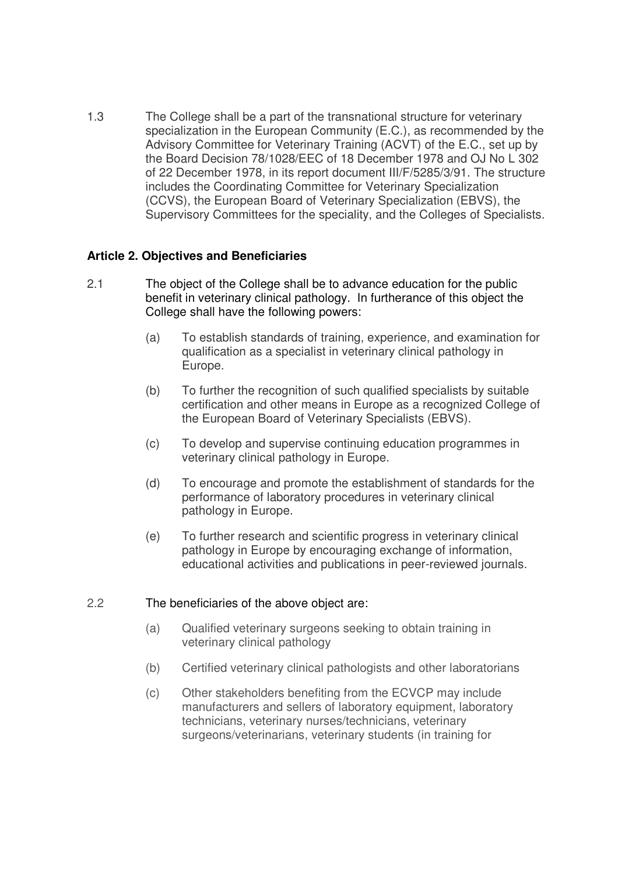1.3 The College shall be a part of the transnational structure for veterinary specialization in the European Community (E.C.), as recommended by the Advisory Committee for Veterinary Training (ACVT) of the E.C., set up by the Board Decision 78/1028/EEC of 18 December 1978 and OJ No L 302 of 22 December 1978, in its report document III/F/5285/3/91. The structure includes the Coordinating Committee for Veterinary Specialization (CCVS), the European Board of Veterinary Specialization (EBVS), the Supervisory Committees for the speciality, and the Colleges of Specialists.

## **Article 2. Objectives and Beneficiaries**

- 2.1 The object of the College shall be to advance education for the public benefit in veterinary clinical pathology. In furtherance of this object the College shall have the following powers:
	- (a) To establish standards of training, experience, and examination for qualification as a specialist in veterinary clinical pathology in Europe.
	- (b) To further the recognition of such qualified specialists by suitable certification and other means in Europe as a recognized College of the European Board of Veterinary Specialists (EBVS).
	- (c) To develop and supervise continuing education programmes in veterinary clinical pathology in Europe.
	- (d) To encourage and promote the establishment of standards for the performance of laboratory procedures in veterinary clinical pathology in Europe.
	- (e) To further research and scientific progress in veterinary clinical pathology in Europe by encouraging exchange of information, educational activities and publications in peer-reviewed journals.

## 2.2 The beneficiaries of the above object are:

- (a) Qualified veterinary surgeons seeking to obtain training in veterinary clinical pathology
- (b) Certified veterinary clinical pathologists and other laboratorians
- (c) Other stakeholders benefiting from the ECVCP may include manufacturers and sellers of laboratory equipment, laboratory technicians, veterinary nurses/technicians, veterinary surgeons/veterinarians, veterinary students (in training for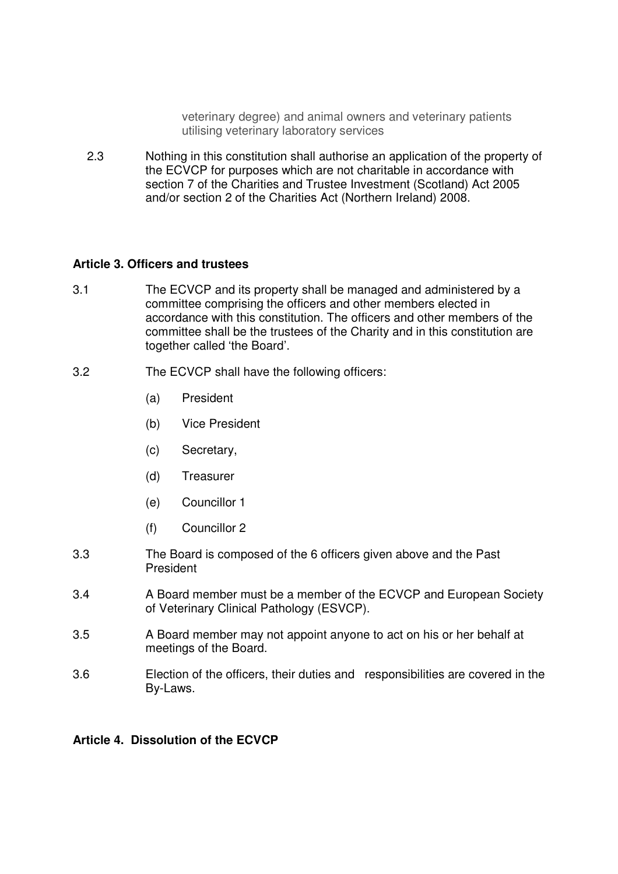veterinary degree) and animal owners and veterinary patients utilising veterinary laboratory services

2.3 Nothing in this constitution shall authorise an application of the property of the ECVCP for purposes which are not charitable in accordance with section 7 of the Charities and Trustee Investment (Scotland) Act 2005 and/or section 2 of the Charities Act (Northern Ireland) 2008.

### **Article 3. Officers and trustees**

- 3.1 The ECVCP and its property shall be managed and administered by a committee comprising the officers and other members elected in accordance with this constitution. The officers and other members of the committee shall be the trustees of the Charity and in this constitution are together called 'the Board'.
- 3.2 The ECVCP shall have the following officers:
	- (a) President
	- (b) Vice President
	- (c) Secretary,
	- (d) Treasurer
	- (e) Councillor 1
	- (f) Councillor 2
- 3.3 The Board is composed of the 6 officers given above and the Past President
- 3.4 A Board member must be a member of the ECVCP and European Society of Veterinary Clinical Pathology (ESVCP).
- 3.5 A Board member may not appoint anyone to act on his or her behalf at meetings of the Board.
- 3.6 Election of the officers, their duties and responsibilities are covered in the By-Laws.

## **Article 4. Dissolution of the ECVCP**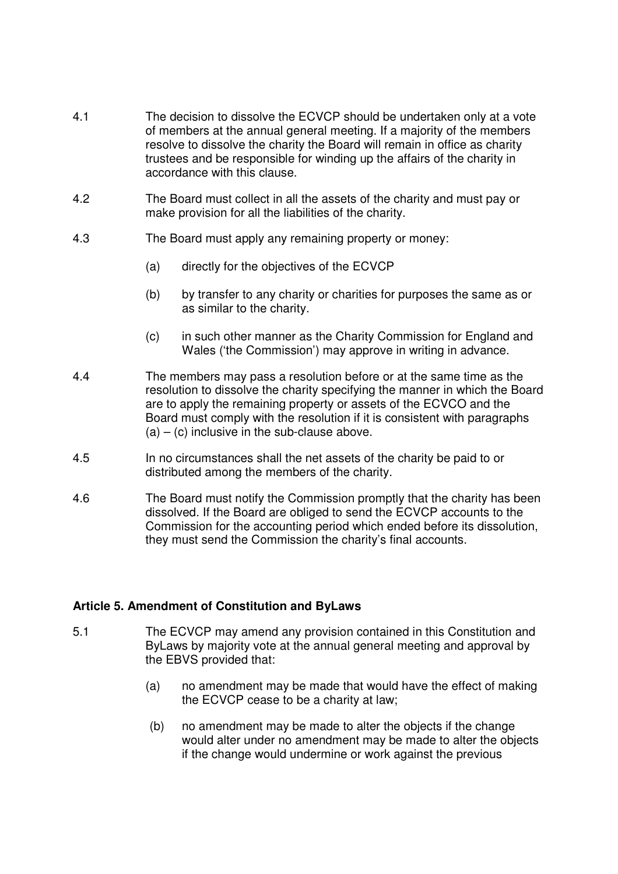- 4.1 The decision to dissolve the ECVCP should be undertaken only at a vote of members at the annual general meeting. If a majority of the members resolve to dissolve the charity the Board will remain in office as charity trustees and be responsible for winding up the affairs of the charity in accordance with this clause.
- 4.2 The Board must collect in all the assets of the charity and must pay or make provision for all the liabilities of the charity.
- 4.3 The Board must apply any remaining property or money:
	- (a) directly for the objectives of the ECVCP
	- (b) by transfer to any charity or charities for purposes the same as or as similar to the charity.
	- (c) in such other manner as the Charity Commission for England and Wales ('the Commission') may approve in writing in advance.
- 4.4 The members may pass a resolution before or at the same time as the resolution to dissolve the charity specifying the manner in which the Board are to apply the remaining property or assets of the ECVCO and the Board must comply with the resolution if it is consistent with paragraphs  $(a) - (c)$  inclusive in the sub-clause above.
- 4.5 In no circumstances shall the net assets of the charity be paid to or distributed among the members of the charity.
- 4.6 The Board must notify the Commission promptly that the charity has been dissolved. If the Board are obliged to send the ECVCP accounts to the Commission for the accounting period which ended before its dissolution, they must send the Commission the charity's final accounts.

## **Article 5. Amendment of Constitution and ByLaws**

- 5.1 The ECVCP may amend any provision contained in this Constitution and ByLaws by majority vote at the annual general meeting and approval by the EBVS provided that:
	- (a) no amendment may be made that would have the effect of making the ECVCP cease to be a charity at law;
	- (b) no amendment may be made to alter the objects if the change would alter under no amendment may be made to alter the objects if the change would undermine or work against the previous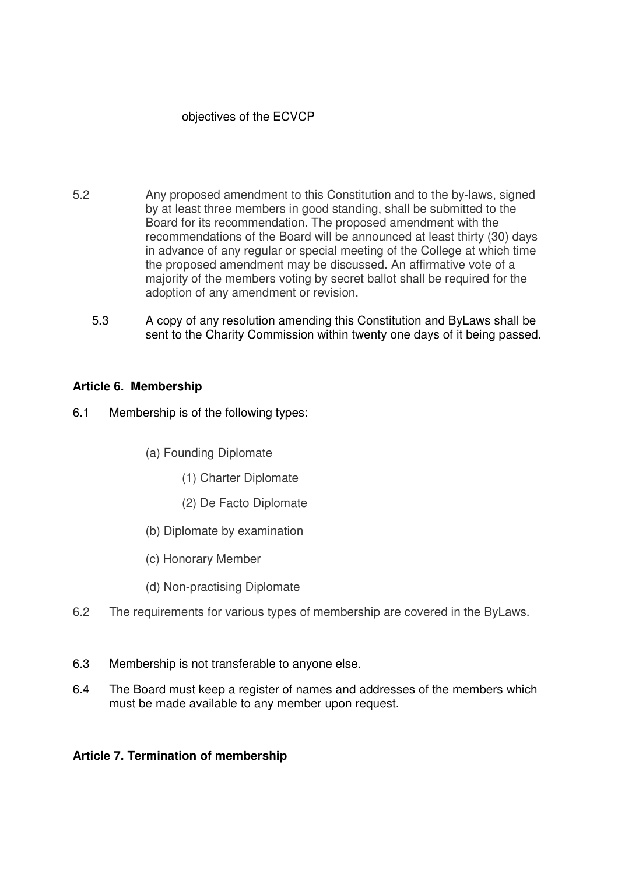# objectives of the ECVCP

- 5.2 Any proposed amendment to this Constitution and to the by-laws, signed by at least three members in good standing, shall be submitted to the Board for its recommendation. The proposed amendment with the recommendations of the Board will be announced at least thirty (30) days in advance of any regular or special meeting of the College at which time the proposed amendment may be discussed. An affirmative vote of a majority of the members voting by secret ballot shall be required for the adoption of any amendment or revision.
	- 5.3 A copy of any resolution amending this Constitution and ByLaws shall be sent to the Charity Commission within twenty one days of it being passed.

## **Article 6. Membership**

- 6.1 Membership is of the following types:
	- (a) Founding Diplomate
		- (1) Charter Diplomate
		- (2) De Facto Diplomate
	- (b) Diplomate by examination
	- (c) Honorary Member
	- (d) Non-practising Diplomate
- 6.2 The requirements for various types of membership are covered in the ByLaws.
- 6.3 Membership is not transferable to anyone else.
- 6.4 The Board must keep a register of names and addresses of the members which must be made available to any member upon request.

## **Article 7. Termination of membership**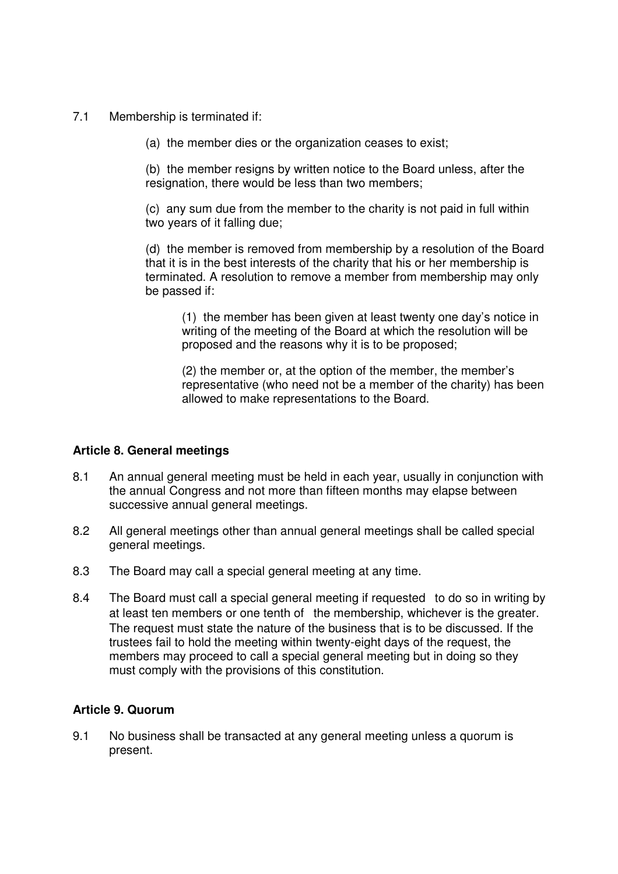- 7.1 Membership is terminated if:
	- (a) the member dies or the organization ceases to exist;

 (b) the member resigns by written notice to the Board unless, after the resignation, there would be less than two members;

(c) any sum due from the member to the charity is not paid in full within two years of it falling due;

(d) the member is removed from membership by a resolution of the Board that it is in the best interests of the charity that his or her membership is terminated. A resolution to remove a member from membership may only be passed if:

(1) the member has been given at least twenty one day's notice in writing of the meeting of the Board at which the resolution will be proposed and the reasons why it is to be proposed;

(2) the member or, at the option of the member, the member's representative (who need not be a member of the charity) has been allowed to make representations to the Board.

## **Article 8. General meetings**

- 8.1 An annual general meeting must be held in each year, usually in conjunction with the annual Congress and not more than fifteen months may elapse between successive annual general meetings.
- 8.2 All general meetings other than annual general meetings shall be called special general meetings.
- 8.3 The Board may call a special general meeting at any time.
- 8.4 The Board must call a special general meeting if requested to do so in writing by at least ten members or one tenth of the membership, whichever is the greater. The request must state the nature of the business that is to be discussed. If the trustees fail to hold the meeting within twenty-eight days of the request, the members may proceed to call a special general meeting but in doing so they must comply with the provisions of this constitution.

## **Article 9. Quorum**

9.1 No business shall be transacted at any general meeting unless a quorum is present.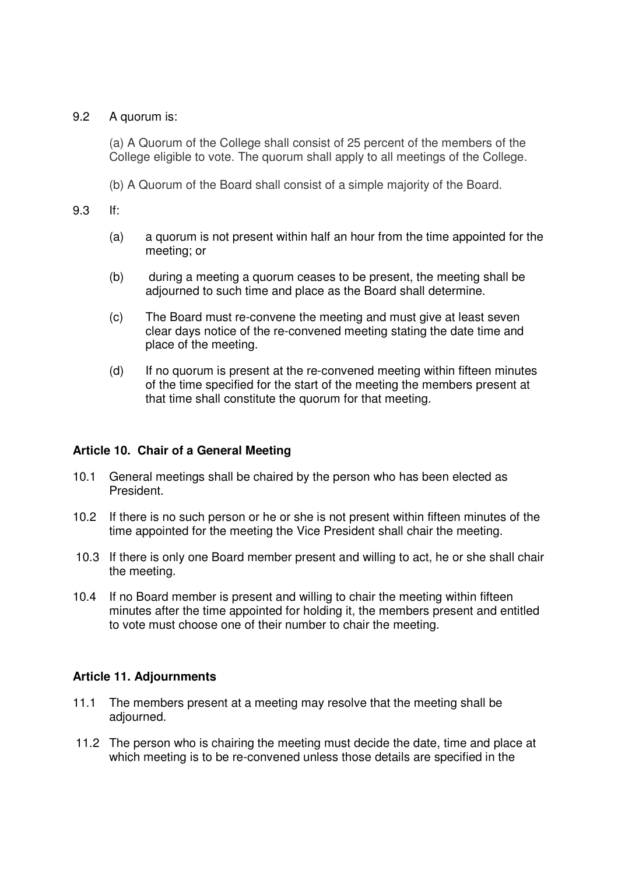### 9.2 A quorum is:

(a) A Quorum of the College shall consist of 25 percent of the members of the College eligible to vote. The quorum shall apply to all meetings of the College.

(b) A Quorum of the Board shall consist of a simple majority of the Board.

### 9.3 If:

- (a) a quorum is not present within half an hour from the time appointed for the meeting; or
- (b) during a meeting a quorum ceases to be present, the meeting shall be adjourned to such time and place as the Board shall determine.
- (c) The Board must re-convene the meeting and must give at least seven clear days notice of the re-convened meeting stating the date time and place of the meeting.
- (d) If no quorum is present at the re-convened meeting within fifteen minutes of the time specified for the start of the meeting the members present at that time shall constitute the quorum for that meeting.

## **Article 10. Chair of a General Meeting**

- 10.1 General meetings shall be chaired by the person who has been elected as President.
- 10.2 If there is no such person or he or she is not present within fifteen minutes of the time appointed for the meeting the Vice President shall chair the meeting.
- 10.3 If there is only one Board member present and willing to act, he or she shall chair the meeting.
- 10.4 If no Board member is present and willing to chair the meeting within fifteen minutes after the time appointed for holding it, the members present and entitled to vote must choose one of their number to chair the meeting.

## **Article 11. Adjournments**

- 11.1 The members present at a meeting may resolve that the meeting shall be adjourned.
- 11.2 The person who is chairing the meeting must decide the date, time and place at which meeting is to be re-convened unless those details are specified in the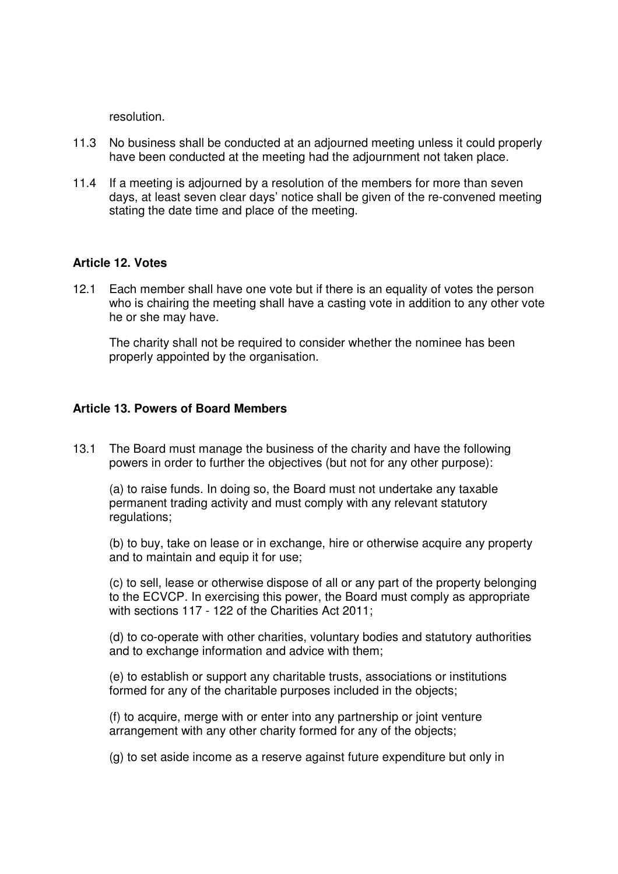resolution.

- 11.3 No business shall be conducted at an adjourned meeting unless it could properly have been conducted at the meeting had the adjournment not taken place.
- 11.4 If a meeting is adjourned by a resolution of the members for more than seven days, at least seven clear days' notice shall be given of the re-convened meeting stating the date time and place of the meeting.

### **Article 12. Votes**

12.1 Each member shall have one vote but if there is an equality of votes the person who is chairing the meeting shall have a casting vote in addition to any other vote he or she may have.

The charity shall not be required to consider whether the nominee has been properly appointed by the organisation.

### **Article 13. Powers of Board Members**

13.1 The Board must manage the business of the charity and have the following powers in order to further the objectives (but not for any other purpose):

(a) to raise funds. In doing so, the Board must not undertake any taxable permanent trading activity and must comply with any relevant statutory regulations;

(b) to buy, take on lease or in exchange, hire or otherwise acquire any property and to maintain and equip it for use;

(c) to sell, lease or otherwise dispose of all or any part of the property belonging to the ECVCP. In exercising this power, the Board must comply as appropriate with sections 117 - 122 of the Charities Act 2011;

(d) to co-operate with other charities, voluntary bodies and statutory authorities and to exchange information and advice with them;

(e) to establish or support any charitable trusts, associations or institutions formed for any of the charitable purposes included in the objects;

(f) to acquire, merge with or enter into any partnership or joint venture arrangement with any other charity formed for any of the objects;

(g) to set aside income as a reserve against future expenditure but only in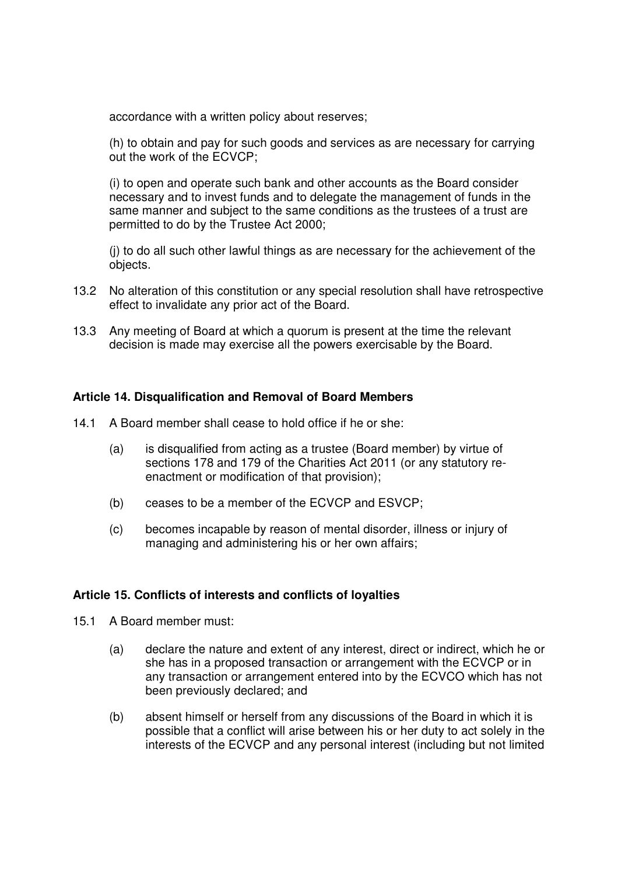accordance with a written policy about reserves;

(h) to obtain and pay for such goods and services as are necessary for carrying out the work of the ECVCP;

(i) to open and operate such bank and other accounts as the Board consider necessary and to invest funds and to delegate the management of funds in the same manner and subject to the same conditions as the trustees of a trust are permitted to do by the Trustee Act 2000;

(j) to do all such other lawful things as are necessary for the achievement of the objects.

- 13.2 No alteration of this constitution or any special resolution shall have retrospective effect to invalidate any prior act of the Board.
- 13.3 Any meeting of Board at which a quorum is present at the time the relevant decision is made may exercise all the powers exercisable by the Board.

### **Article 14. Disqualification and Removal of Board Members**

- 14.1 A Board member shall cease to hold office if he or she:
	- (a) is disqualified from acting as a trustee (Board member) by virtue of sections 178 and 179 of the Charities Act 2011 (or any statutory reenactment or modification of that provision);
	- (b) ceases to be a member of the ECVCP and ESVCP;
	- (c) becomes incapable by reason of mental disorder, illness or injury of managing and administering his or her own affairs;

### **Article 15. Conflicts of interests and conflicts of loyalties**

- 15.1 A Board member must:
	- (a) declare the nature and extent of any interest, direct or indirect, which he or she has in a proposed transaction or arrangement with the ECVCP or in any transaction or arrangement entered into by the ECVCO which has not been previously declared; and
	- (b) absent himself or herself from any discussions of the Board in which it is possible that a conflict will arise between his or her duty to act solely in the interests of the ECVCP and any personal interest (including but not limited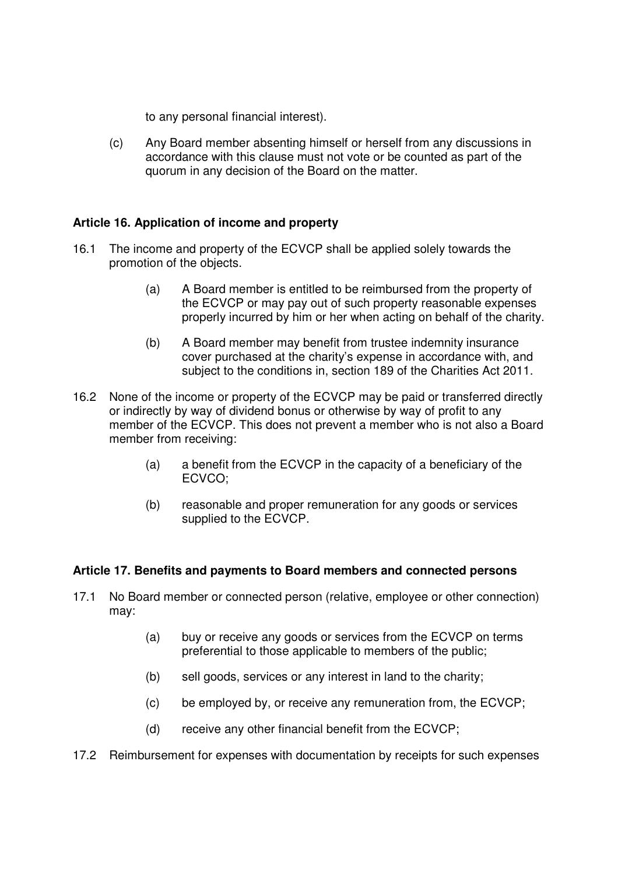to any personal financial interest).

(c) Any Board member absenting himself or herself from any discussions in accordance with this clause must not vote or be counted as part of the quorum in any decision of the Board on the matter.

# **Article 16. Application of income and property**

- 16.1 The income and property of the ECVCP shall be applied solely towards the promotion of the objects.
	- (a) A Board member is entitled to be reimbursed from the property of the ECVCP or may pay out of such property reasonable expenses properly incurred by him or her when acting on behalf of the charity.
	- (b) A Board member may benefit from trustee indemnity insurance cover purchased at the charity's expense in accordance with, and subject to the conditions in, section 189 of the Charities Act 2011.
- 16.2 None of the income or property of the ECVCP may be paid or transferred directly or indirectly by way of dividend bonus or otherwise by way of profit to any member of the ECVCP. This does not prevent a member who is not also a Board member from receiving:
	- (a) a benefit from the ECVCP in the capacity of a beneficiary of the ECVCO;
	- (b) reasonable and proper remuneration for any goods or services supplied to the ECVCP.

## **Article 17. Benefits and payments to Board members and connected persons**

- 17.1 No Board member or connected person (relative, employee or other connection) may:
	- (a) buy or receive any goods or services from the ECVCP on terms preferential to those applicable to members of the public;
	- (b) sell goods, services or any interest in land to the charity;
	- (c) be employed by, or receive any remuneration from, the ECVCP;
	- (d) receive any other financial benefit from the ECVCP;
- 17.2 Reimbursement for expenses with documentation by receipts for such expenses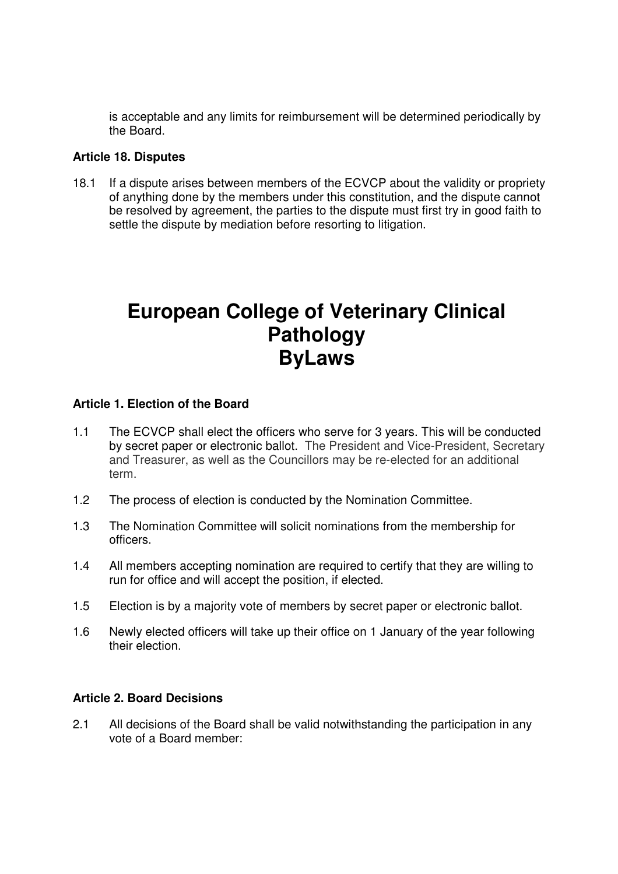is acceptable and any limits for reimbursement will be determined periodically by the Board.

# **Article 18. Disputes**

18.1 If a dispute arises between members of the ECVCP about the validity or propriety of anything done by the members under this constitution, and the dispute cannot be resolved by agreement, the parties to the dispute must first try in good faith to settle the dispute by mediation before resorting to litigation.

# **European College of Veterinary Clinical Pathology ByLaws**

# **Article 1. Election of the Board**

- 1.1 The ECVCP shall elect the officers who serve for 3 years. This will be conducted by secret paper or electronic ballot. The President and Vice-President, Secretary and Treasurer, as well as the Councillors may be re-elected for an additional term.
- 1.2 The process of election is conducted by the Nomination Committee.
- 1.3 The Nomination Committee will solicit nominations from the membership for officers.
- 1.4 All members accepting nomination are required to certify that they are willing to run for office and will accept the position, if elected.
- 1.5 Election is by a majority vote of members by secret paper or electronic ballot.
- 1.6 Newly elected officers will take up their office on 1 January of the year following their election.

## **Article 2. Board Decisions**

2.1 All decisions of the Board shall be valid notwithstanding the participation in any vote of a Board member: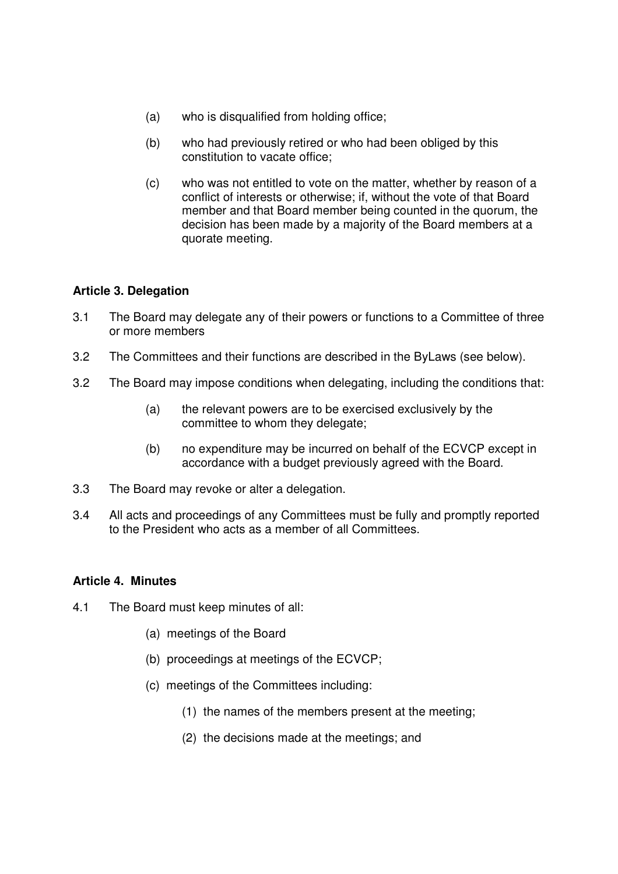- (a) who is disqualified from holding office;
- (b) who had previously retired or who had been obliged by this constitution to vacate office;
- (c) who was not entitled to vote on the matter, whether by reason of a conflict of interests or otherwise; if, without the vote of that Board member and that Board member being counted in the quorum, the decision has been made by a majority of the Board members at a quorate meeting.

## **Article 3. Delegation**

- 3.1 The Board may delegate any of their powers or functions to a Committee of three or more members
- 3.2 The Committees and their functions are described in the ByLaws (see below).
- 3.2 The Board may impose conditions when delegating, including the conditions that:
	- (a) the relevant powers are to be exercised exclusively by the committee to whom they delegate;
	- (b) no expenditure may be incurred on behalf of the ECVCP except in accordance with a budget previously agreed with the Board.
- 3.3 The Board may revoke or alter a delegation.
- 3.4 All acts and proceedings of any Committees must be fully and promptly reported to the President who acts as a member of all Committees.

## **Article 4. Minutes**

- 4.1 The Board must keep minutes of all:
	- (a) meetings of the Board
	- (b) proceedings at meetings of the ECVCP;
	- (c) meetings of the Committees including:
		- (1) the names of the members present at the meeting;
		- (2) the decisions made at the meetings; and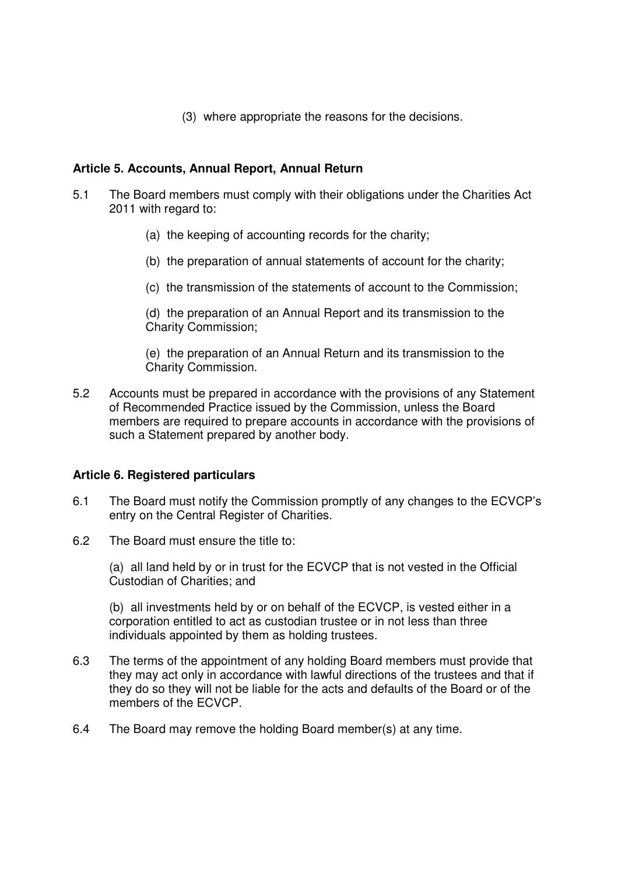(3) where appropriate the reasons for the decisions.

# **Article 5. Accounts, Annual Report, Annual Return**

- 5.1 The Board members must comply with their obligations under the Charities Act 2011 with regard to:
	- (a) the keeping of accounting records for the charity;
	- (b) the preparation of annual statements of account for the charity;
	- (c) the transmission of the statements of account to the Commission;

(d) the preparation of an Annual Report and its transmission to the Charity Commission;

(e) the preparation of an Annual Return and its transmission to the Charity Commission.

5.2 Accounts must be prepared in accordance with the provisions of any Statement of Recommended Practice issued by the Commission, unless the Board members are required to prepare accounts in accordance with the provisions of such a Statement prepared by another body.

## **Article 6. Registered particulars**

- 6.1 The Board must notify the Commission promptly of any changes to the ECVCP's entry on the Central Register of Charities.
- 6.2 The Board must ensure the title to:

(a) all land held by or in trust for the ECVCP that is not vested in the Official Custodian of Charities; and

(b) all investments held by or on behalf of the ECVCP, is vested either in a corporation entitled to act as custodian trustee or in not less than three individuals appointed by them as holding trustees.

- 6.3 The terms of the appointment of any holding Board members must provide that they may act only in accordance with lawful directions of the trustees and that if they do so they will not be liable for the acts and defaults of the Board or of the members of the ECVCP.
- 6.4 The Board may remove the holding Board member(s) at any time.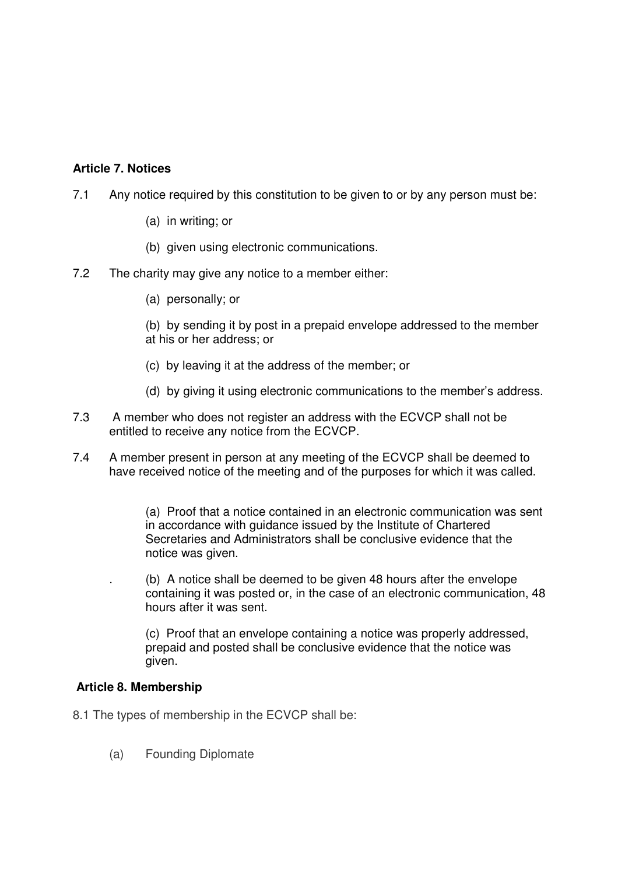# **Article 7. Notices**

- 7.1 Any notice required by this constitution to be given to or by any person must be:
	- (a) in writing; or
	- (b) given using electronic communications.
- 7.2 The charity may give any notice to a member either:
	- (a) personally; or

(b) by sending it by post in a prepaid envelope addressed to the member at his or her address; or

- (c) by leaving it at the address of the member; or
- (d) by giving it using electronic communications to the member's address.
- 7.3 A member who does not register an address with the ECVCP shall not be entitled to receive any notice from the ECVCP.
- 7.4 A member present in person at any meeting of the ECVCP shall be deemed to have received notice of the meeting and of the purposes for which it was called.

(a) Proof that a notice contained in an electronic communication was sent in accordance with guidance issued by the Institute of Chartered Secretaries and Administrators shall be conclusive evidence that the notice was given.

. (b) A notice shall be deemed to be given 48 hours after the envelope containing it was posted or, in the case of an electronic communication, 48 hours after it was sent.

(c) Proof that an envelope containing a notice was properly addressed, prepaid and posted shall be conclusive evidence that the notice was given.

### **Article 8. Membership**

- 8.1 The types of membership in the ECVCP shall be:
	- (a) Founding Diplomate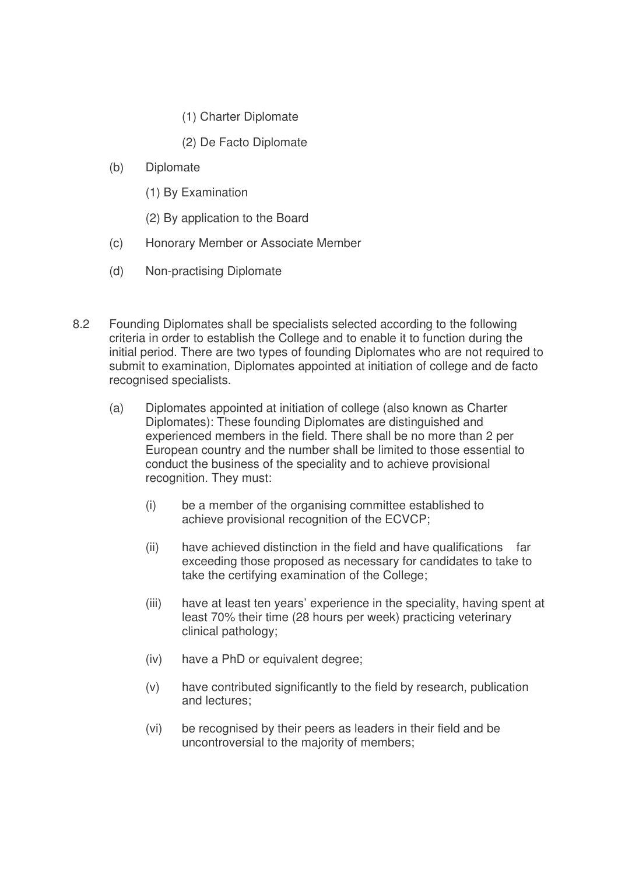- (1) Charter Diplomate
- (2) De Facto Diplomate
- (b) Diplomate
	- (1) By Examination
	- (2) By application to the Board
- (c) Honorary Member or Associate Member
- (d) Non-practising Diplomate
- 8.2 Founding Diplomates shall be specialists selected according to the following criteria in order to establish the College and to enable it to function during the initial period. There are two types of founding Diplomates who are not required to submit to examination, Diplomates appointed at initiation of college and de facto recognised specialists.
	- (a) Diplomates appointed at initiation of college (also known as Charter Diplomates): These founding Diplomates are distinguished and experienced members in the field. There shall be no more than 2 per European country and the number shall be limited to those essential to conduct the business of the speciality and to achieve provisional recognition. They must:
		- (i) be a member of the organising committee established to achieve provisional recognition of the ECVCP;
		- (ii) have achieved distinction in the field and have qualifications far exceeding those proposed as necessary for candidates to take to take the certifying examination of the College;
		- (iii) have at least ten years' experience in the speciality, having spent at least 70% their time (28 hours per week) practicing veterinary clinical pathology;
		- (iv) have a PhD or equivalent degree;
		- (v) have contributed significantly to the field by research, publication and lectures;
		- (vi) be recognised by their peers as leaders in their field and be uncontroversial to the majority of members;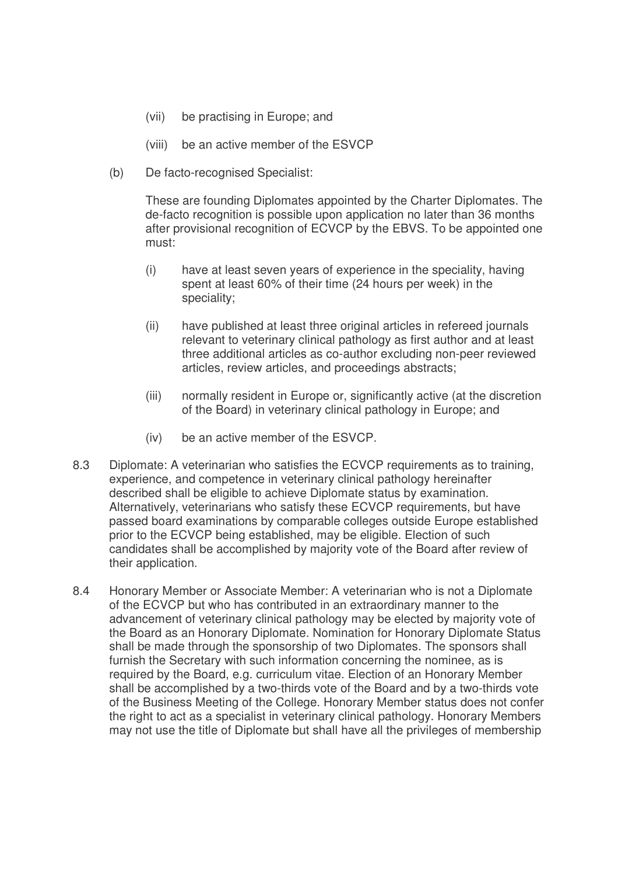- (vii) be practising in Europe; and
- (viii) be an active member of the ESVCP
- (b) De facto-recognised Specialist:

These are founding Diplomates appointed by the Charter Diplomates. The de-facto recognition is possible upon application no later than 36 months after provisional recognition of ECVCP by the EBVS. To be appointed one must:

- (i) have at least seven years of experience in the speciality, having spent at least 60% of their time (24 hours per week) in the speciality;
- (ii) have published at least three original articles in refereed journals relevant to veterinary clinical pathology as first author and at least three additional articles as co-author excluding non-peer reviewed articles, review articles, and proceedings abstracts;
- (iii) normally resident in Europe or, significantly active (at the discretion of the Board) in veterinary clinical pathology in Europe; and
- (iv) be an active member of the ESVCP.
- 8.3 Diplomate: A veterinarian who satisfies the ECVCP requirements as to training, experience, and competence in veterinary clinical pathology hereinafter described shall be eligible to achieve Diplomate status by examination. Alternatively, veterinarians who satisfy these ECVCP requirements, but have passed board examinations by comparable colleges outside Europe established prior to the ECVCP being established, may be eligible. Election of such candidates shall be accomplished by majority vote of the Board after review of their application.
- 8.4 Honorary Member or Associate Member: A veterinarian who is not a Diplomate of the ECVCP but who has contributed in an extraordinary manner to the advancement of veterinary clinical pathology may be elected by majority vote of the Board as an Honorary Diplomate. Nomination for Honorary Diplomate Status shall be made through the sponsorship of two Diplomates. The sponsors shall furnish the Secretary with such information concerning the nominee, as is required by the Board, e.g. curriculum vitae. Election of an Honorary Member shall be accomplished by a two-thirds vote of the Board and by a two-thirds vote of the Business Meeting of the College. Honorary Member status does not confer the right to act as a specialist in veterinary clinical pathology. Honorary Members may not use the title of Diplomate but shall have all the privileges of membership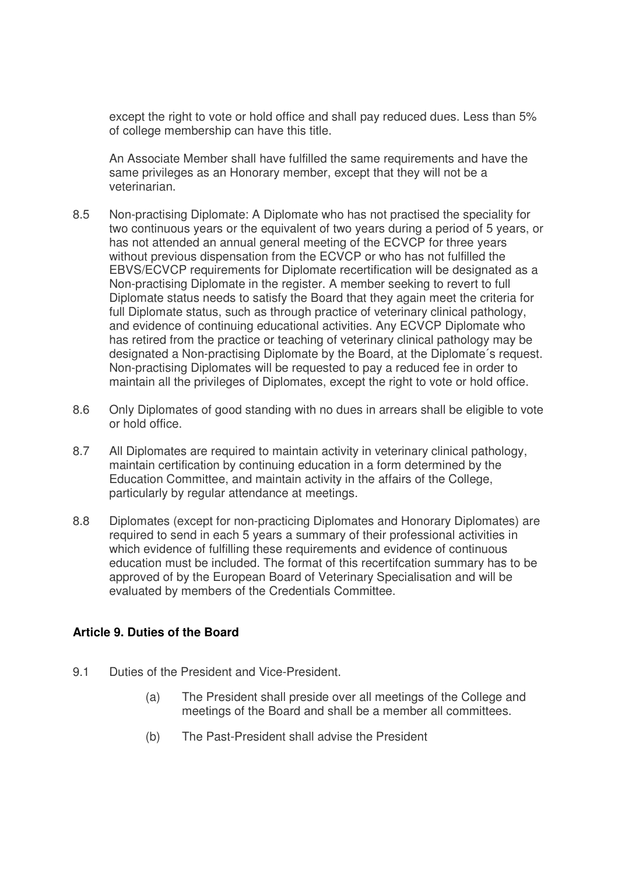except the right to vote or hold office and shall pay reduced dues. Less than 5% of college membership can have this title.

An Associate Member shall have fulfilled the same requirements and have the same privileges as an Honorary member, except that they will not be a veterinarian.

- 8.5 Non-practising Diplomate: A Diplomate who has not practised the speciality for two continuous years or the equivalent of two years during a period of 5 years, or has not attended an annual general meeting of the ECVCP for three years without previous dispensation from the ECVCP or who has not fulfilled the EBVS/ECVCP requirements for Diplomate recertification will be designated as a Non-practising Diplomate in the register. A member seeking to revert to full Diplomate status needs to satisfy the Board that they again meet the criteria for full Diplomate status, such as through practice of veterinary clinical pathology, and evidence of continuing educational activities. Any ECVCP Diplomate who has retired from the practice or teaching of veterinary clinical pathology may be designated a Non-practising Diplomate by the Board, at the Diplomate´s request. Non-practising Diplomates will be requested to pay a reduced fee in order to maintain all the privileges of Diplomates, except the right to vote or hold office.
- 8.6 Only Diplomates of good standing with no dues in arrears shall be eligible to vote or hold office.
- 8.7 All Diplomates are required to maintain activity in veterinary clinical pathology, maintain certification by continuing education in a form determined by the Education Committee, and maintain activity in the affairs of the College, particularly by regular attendance at meetings.
- 8.8 Diplomates (except for non-practicing Diplomates and Honorary Diplomates) are required to send in each 5 years a summary of their professional activities in which evidence of fulfilling these requirements and evidence of continuous education must be included. The format of this recertifcation summary has to be approved of by the European Board of Veterinary Specialisation and will be evaluated by members of the Credentials Committee.

### **Article 9. Duties of the Board**

- 9.1 Duties of the President and Vice-President.
	- (a) The President shall preside over all meetings of the College and meetings of the Board and shall be a member all committees.
	- (b) The Past-President shall advise the President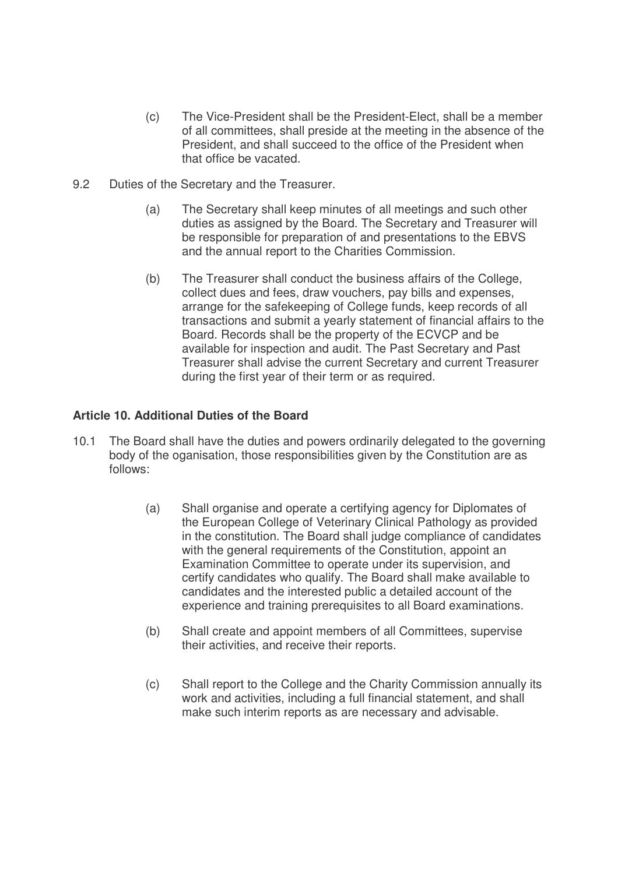- (c) The Vice-President shall be the President-Elect, shall be a member of all committees, shall preside at the meeting in the absence of the President, and shall succeed to the office of the President when that office be vacated.
- 9.2 Duties of the Secretary and the Treasurer.
	- (a) The Secretary shall keep minutes of all meetings and such other duties as assigned by the Board. The Secretary and Treasurer will be responsible for preparation of and presentations to the EBVS and the annual report to the Charities Commission.
	- (b) The Treasurer shall conduct the business affairs of the College, collect dues and fees, draw vouchers, pay bills and expenses, arrange for the safekeeping of College funds, keep records of all transactions and submit a yearly statement of financial affairs to the Board. Records shall be the property of the ECVCP and be available for inspection and audit. The Past Secretary and Past Treasurer shall advise the current Secretary and current Treasurer during the first year of their term or as required.

# **Article 10. Additional Duties of the Board**

- 10.1 The Board shall have the duties and powers ordinarily delegated to the governing body of the oganisation, those responsibilities given by the Constitution are as follows:
	- (a) Shall organise and operate a certifying agency for Diplomates of the European College of Veterinary Clinical Pathology as provided in the constitution. The Board shall judge compliance of candidates with the general requirements of the Constitution, appoint an Examination Committee to operate under its supervision, and certify candidates who qualify. The Board shall make available to candidates and the interested public a detailed account of the experience and training prerequisites to all Board examinations.
	- (b) Shall create and appoint members of all Committees, supervise their activities, and receive their reports.
	- (c) Shall report to the College and the Charity Commission annually its work and activities, including a full financial statement, and shall make such interim reports as are necessary and advisable.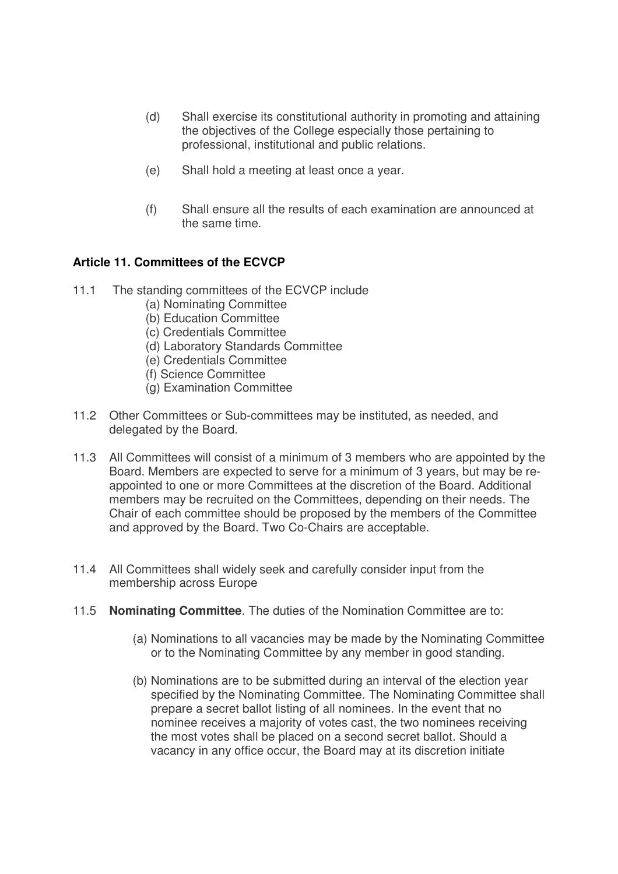- (d) Shall exercise its constitutional authority in promoting and attaining the objectives of the College especially those pertaining to professional, institutional and public relations.
- (e) Shall hold a meeting at least once a year.
- (f) Shall ensure all the results of each examination are announced at the same time.

# **Article 11. Committees of the ECVCP**

- 11.1 The standing committees of the ECVCP include
	- (a) Nominating Committee
	- (b) Education Committee
	- (c) Credentials Committee
	- (d) Laboratory Standards Committee
	- (e) Credentials Committee
	- (f) Science Committee
	- (g) Examination Committee
- 11.2 Other Committees or Sub-committees may be instituted, as needed, and delegated by the Board.
- 11.3 All Committees will consist of a minimum of 3 members who are appointed by the Board. Members are expected to serve for a minimum of 3 years, but may be reappointed to one or more Committees at the discretion of the Board. Additional members may be recruited on the Committees, depending on their needs. The Chair of each committee should be proposed by the members of the Committee and approved by the Board. Two Co-Chairs are acceptable.
- 11.4 All Committees shall widely seek and carefully consider input from the membership across Europe
- 11.5 **Nominating Committee**. The duties of the Nomination Committee are to:
	- (a) Nominations to all vacancies may be made by the Nominating Committee or to the Nominating Committee by any member in good standing.
	- (b) Nominations are to be submitted during an interval of the election year specified by the Nominating Committee. The Nominating Committee shall prepare a secret ballot listing of all nominees. In the event that no nominee receives a majority of votes cast, the two nominees receiving the most votes shall be placed on a second secret ballot. Should a vacancy in any office occur, the Board may at its discretion initiate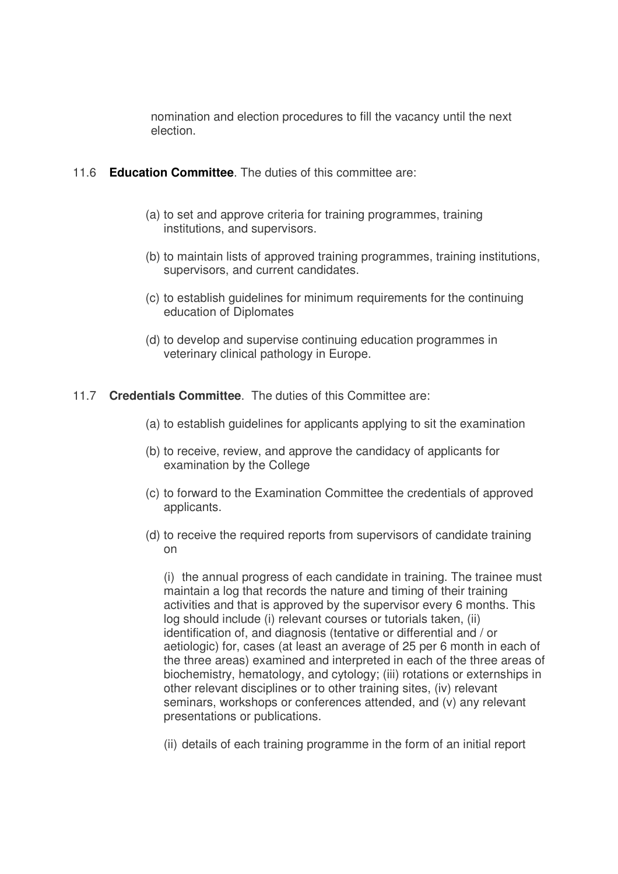nomination and election procedures to fill the vacancy until the next election.

## 11.6 **Education Committee**. The duties of this committee are:

- (a) to set and approve criteria for training programmes, training institutions, and supervisors.
- (b) to maintain lists of approved training programmes, training institutions, supervisors, and current candidates.
- (c) to establish guidelines for minimum requirements for the continuing education of Diplomates
- (d) to develop and supervise continuing education programmes in veterinary clinical pathology in Europe.

# 11.7 **Credentials Committee**. The duties of this Committee are:

- (a) to establish guidelines for applicants applying to sit the examination
- (b) to receive, review, and approve the candidacy of applicants for examination by the College
- (c) to forward to the Examination Committee the credentials of approved applicants.
- (d) to receive the required reports from supervisors of candidate training on

(i) the annual progress of each candidate in training. The trainee must maintain a log that records the nature and timing of their training activities and that is approved by the supervisor every 6 months. This log should include (i) relevant courses or tutorials taken, (ii) identification of, and diagnosis (tentative or differential and / or aetiologic) for, cases (at least an average of 25 per 6 month in each of the three areas) examined and interpreted in each of the three areas of biochemistry, hematology, and cytology; (iii) rotations or externships in other relevant disciplines or to other training sites, (iv) relevant seminars, workshops or conferences attended, and (v) any relevant presentations or publications.

(ii) details of each training programme in the form of an initial report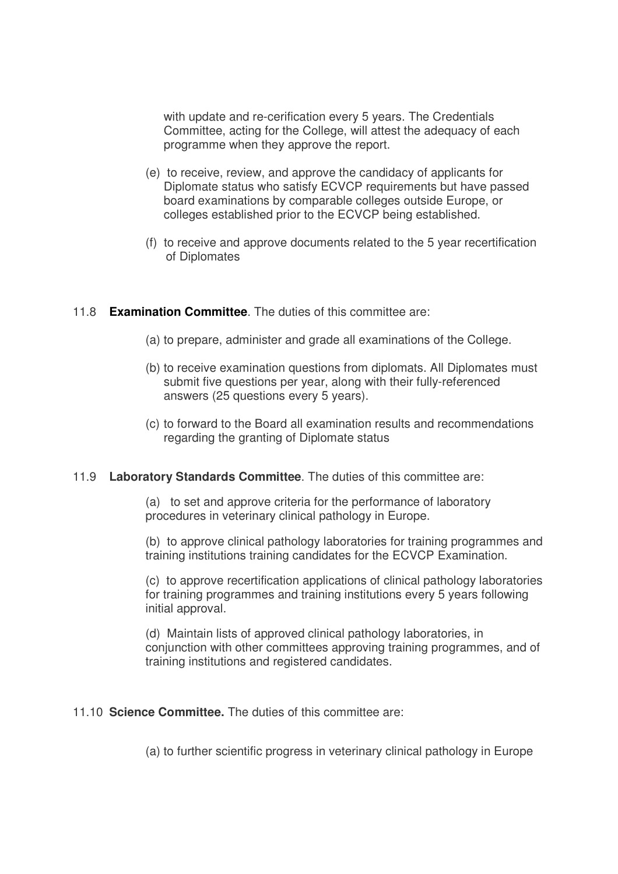with update and re-cerification every 5 years. The Credentials Committee, acting for the College, will attest the adequacy of each programme when they approve the report.

- (e) to receive, review, and approve the candidacy of applicants for Diplomate status who satisfy ECVCP requirements but have passed board examinations by comparable colleges outside Europe, or colleges established prior to the ECVCP being established.
- (f) to receive and approve documents related to the 5 year recertification of Diplomates

### 11.8 **Examination Committee**. The duties of this committee are:

- (a) to prepare, administer and grade all examinations of the College.
- (b) to receive examination questions from diplomats. All Diplomates must submit five questions per year, along with their fully-referenced answers (25 questions every 5 years).
- (c) to forward to the Board all examination results and recommendations regarding the granting of Diplomate status

### 11.9 **Laboratory Standards Committee**. The duties of this committee are:

(a) to set and approve criteria for the performance of laboratory procedures in veterinary clinical pathology in Europe.

(b) to approve clinical pathology laboratories for training programmes and training institutions training candidates for the ECVCP Examination.

(c) to approve recertification applications of clinical pathology laboratories for training programmes and training institutions every 5 years following initial approval.

(d) Maintain lists of approved clinical pathology laboratories, in conjunction with other committees approving training programmes, and of training institutions and registered candidates.

### 11.10 **Science Committee.** The duties of this committee are:

(a) to further scientific progress in veterinary clinical pathology in Europe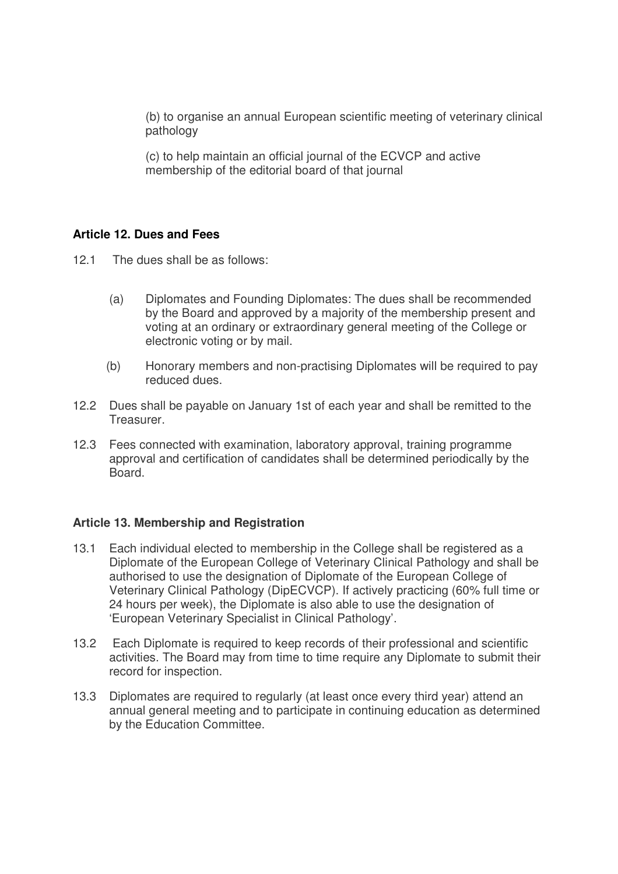(b) to organise an annual European scientific meeting of veterinary clinical pathology

(c) to help maintain an official journal of the ECVCP and active membership of the editorial board of that journal

# **Article 12. Dues and Fees**

- 12.1 The dues shall be as follows:
	- (a) Diplomates and Founding Diplomates: The dues shall be recommended by the Board and approved by a majority of the membership present and voting at an ordinary or extraordinary general meeting of the College or electronic voting or by mail.
	- (b) Honorary members and non-practising Diplomates will be required to pay reduced dues.
- 12.2 Dues shall be payable on January 1st of each year and shall be remitted to the Treasurer.
- 12.3 Fees connected with examination, laboratory approval, training programme approval and certification of candidates shall be determined periodically by the Board.

## **Article 13. Membership and Registration**

- 13.1 Each individual elected to membership in the College shall be registered as a Diplomate of the European College of Veterinary Clinical Pathology and shall be authorised to use the designation of Diplomate of the European College of Veterinary Clinical Pathology (DipECVCP). If actively practicing (60% full time or 24 hours per week), the Diplomate is also able to use the designation of 'European Veterinary Specialist in Clinical Pathology'.
- 13.2 Each Diplomate is required to keep records of their professional and scientific activities. The Board may from time to time require any Diplomate to submit their record for inspection.
- 13.3 Diplomates are required to regularly (at least once every third year) attend an annual general meeting and to participate in continuing education as determined by the Education Committee.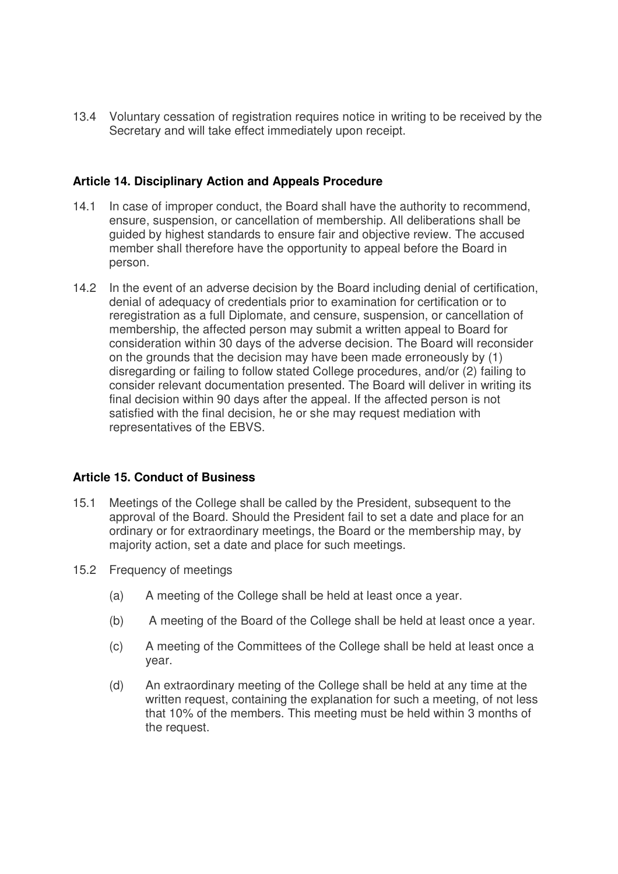13.4 Voluntary cessation of registration requires notice in writing to be received by the Secretary and will take effect immediately upon receipt.

### **Article 14. Disciplinary Action and Appeals Procedure**

- 14.1 In case of improper conduct, the Board shall have the authority to recommend, ensure, suspension, or cancellation of membership. All deliberations shall be guided by highest standards to ensure fair and objective review. The accused member shall therefore have the opportunity to appeal before the Board in person.
- 14.2 In the event of an adverse decision by the Board including denial of certification, denial of adequacy of credentials prior to examination for certification or to reregistration as a full Diplomate, and censure, suspension, or cancellation of membership, the affected person may submit a written appeal to Board for consideration within 30 days of the adverse decision. The Board will reconsider on the grounds that the decision may have been made erroneously by (1) disregarding or failing to follow stated College procedures, and/or (2) failing to consider relevant documentation presented. The Board will deliver in writing its final decision within 90 days after the appeal. If the affected person is not satisfied with the final decision, he or she may request mediation with representatives of the EBVS.

### **Article 15. Conduct of Business**

- 15.1 Meetings of the College shall be called by the President, subsequent to the approval of the Board. Should the President fail to set a date and place for an ordinary or for extraordinary meetings, the Board or the membership may, by majority action, set a date and place for such meetings.
- 15.2 Frequency of meetings
	- (a) A meeting of the College shall be held at least once a year.
	- (b) A meeting of the Board of the College shall be held at least once a year.
	- (c) A meeting of the Committees of the College shall be held at least once a year.
	- (d) An extraordinary meeting of the College shall be held at any time at the written request, containing the explanation for such a meeting, of not less that 10% of the members. This meeting must be held within 3 months of the request.